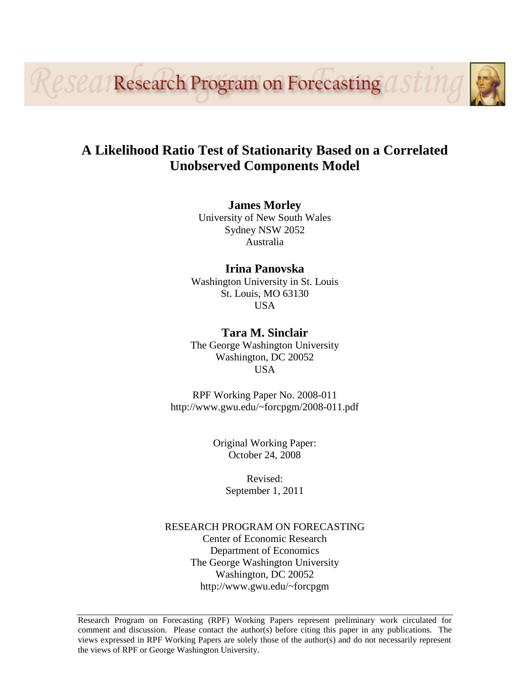*eseq/Research Program on Forecasting* 

## **A Likelihood Ratio Test of Stationarity Based on a Correlated Unobserved Components Model**

**James Morley**

University of New South Wales Sydney NSW 2052 Australia

## **Irina Panovska**

Washington University in St. Louis St. Louis, MO 63130 USA

**Tara M. Sinclair** The George Washington University Washington, DC 20052 USA

RPF Working Paper No. 2008-011 http://www.gwu.edu/~forcpgm/2008-011.pdf

> Original Working Paper: October 24, 2008

> > Revised: September 1, 2011

## RESEARCH PROGRAM ON FORECASTING Center of Economic Research Department of Economics The George Washington University Washington, DC 20052 http://www.gwu.edu/~forcpgm

Research Program on Forecasting (RPF) Working Papers represent preliminary work circulated for comment and discussion. Please contact the author(s) before citing this paper in any publications. The views expressed in RPF Working Papers are solely those of the author(s) and do not necessarily represent the views of RPF or George Washington University.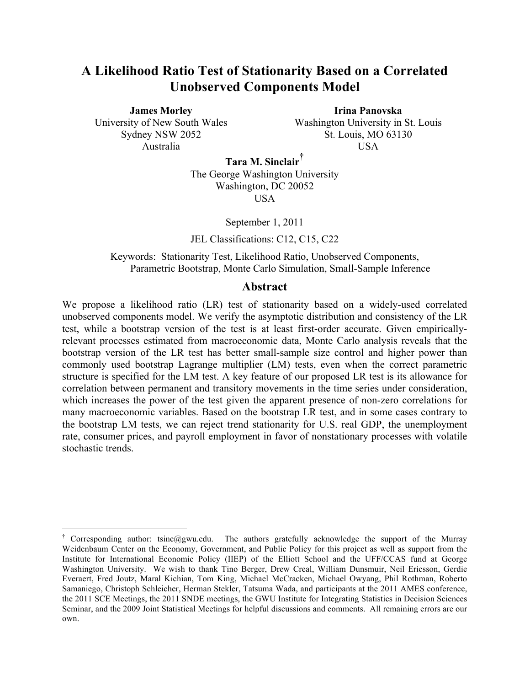## **A Likelihood Ratio Test of Stationarity Based on a Correlated Unobserved Components Model**

**James Morley** University of New South Wales Sydney NSW 2052 Australia

**Irina Panovska** Washington University in St. Louis St. Louis, MO 63130 USA

**Tara M. Sinclair†**

The George Washington University Washington, DC 20052 USA

September 1, 2011

JEL Classifications: C12, C15, C22

Keywords: Stationarity Test, Likelihood Ratio, Unobserved Components, Parametric Bootstrap, Monte Carlo Simulation, Small-Sample Inference

### **Abstract**

We propose a likelihood ratio (LR) test of stationarity based on a widely-used correlated unobserved components model. We verify the asymptotic distribution and consistency of the LR test, while a bootstrap version of the test is at least first-order accurate. Given empiricallyrelevant processes estimated from macroeconomic data, Monte Carlo analysis reveals that the bootstrap version of the LR test has better small-sample size control and higher power than commonly used bootstrap Lagrange multiplier (LM) tests, even when the correct parametric structure is specified for the LM test. A key feature of our proposed LR test is its allowance for correlation between permanent and transitory movements in the time series under consideration, which increases the power of the test given the apparent presence of non-zero correlations for many macroeconomic variables. Based on the bootstrap LR test, and in some cases contrary to the bootstrap LM tests, we can reject trend stationarity for U.S. real GDP, the unemployment rate, consumer prices, and payroll employment in favor of nonstationary processes with volatile stochastic trends.

<sup>&</sup>lt;sup>†</sup> Corresponding author: tsinc@gwu.edu. The authors gratefully acknowledge the support of the Murray Weidenbaum Center on the Economy, Government, and Public Policy for this project as well as support from the Institute for International Economic Policy (IIEP) of the Elliott School and the UFF/CCAS fund at George Washington University. We wish to thank Tino Berger, Drew Creal, William Dunsmuir, Neil Ericsson, Gerdie Everaert, Fred Joutz, Maral Kichian, Tom King, Michael McCracken, Michael Owyang, Phil Rothman, Roberto Samaniego, Christoph Schleicher, Herman Stekler, Tatsuma Wada, and participants at the 2011 AMES conference, the 2011 SCE Meetings, the 2011 SNDE meetings, the GWU Institute for Integrating Statistics in Decision Sciences Seminar, and the 2009 Joint Statistical Meetings for helpful discussions and comments. All remaining errors are our own.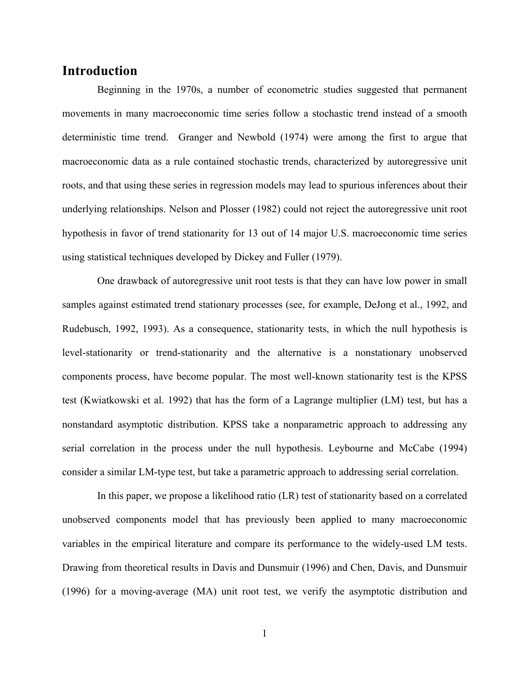## **Introduction**

Beginning in the 1970s, a number of econometric studies suggested that permanent movements in many macroeconomic time series follow a stochastic trend instead of a smooth deterministic time trend. Granger and Newbold (1974) were among the first to argue that macroeconomic data as a rule contained stochastic trends, characterized by autoregressive unit roots, and that using these series in regression models may lead to spurious inferences about their underlying relationships. Nelson and Plosser (1982) could not reject the autoregressive unit root hypothesis in favor of trend stationarity for 13 out of 14 major U.S. macroeconomic time series using statistical techniques developed by Dickey and Fuller (1979).

One drawback of autoregressive unit root tests is that they can have low power in small samples against estimated trend stationary processes (see, for example, DeJong et al., 1992, and Rudebusch, 1992, 1993). As a consequence, stationarity tests, in which the null hypothesis is level-stationarity or trend-stationarity and the alternative is a nonstationary unobserved components process, have become popular. The most well-known stationarity test is the KPSS test (Kwiatkowski et al. 1992) that has the form of a Lagrange multiplier (LM) test, but has a nonstandard asymptotic distribution. KPSS take a nonparametric approach to addressing any serial correlation in the process under the null hypothesis. Leybourne and McCabe (1994) consider a similar LM-type test, but take a parametric approach to addressing serial correlation.

In this paper, we propose a likelihood ratio (LR) test of stationarity based on a correlated unobserved components model that has previously been applied to many macroeconomic variables in the empirical literature and compare its performance to the widely-used LM tests. Drawing from theoretical results in Davis and Dunsmuir (1996) and Chen, Davis, and Dunsmuir (1996) for a moving-average (MA) unit root test, we verify the asymptotic distribution and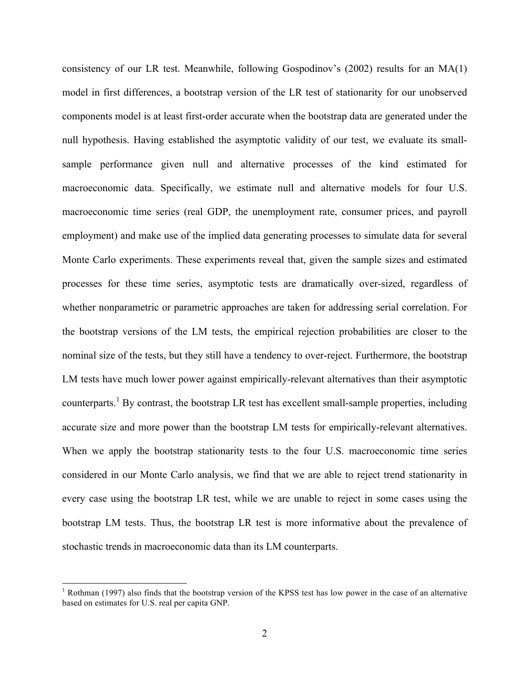consistency of our LR test. Meanwhile, following Gospodinov's (2002) results for an MA(1) model in first differences, a bootstrap version of the LR test of stationarity for our unobserved components model is at least first-order accurate when the bootstrap data are generated under the null hypothesis. Having established the asymptotic validity of our test, we evaluate its smallsample performance given null and alternative processes of the kind estimated for macroeconomic data. Specifically, we estimate null and alternative models for four U.S. macroeconomic time series (real GDP, the unemployment rate, consumer prices, and payroll employment) and make use of the implied data generating processes to simulate data for several Monte Carlo experiments. These experiments reveal that, given the sample sizes and estimated processes for these time series, asymptotic tests are dramatically over-sized, regardless of whether nonparametric or parametric approaches are taken for addressing serial correlation. For the bootstrap versions of the LM tests, the empirical rejection probabilities are closer to the nominal size of the tests, but they still have a tendency to over-reject. Furthermore, the bootstrap LM tests have much lower power against empirically-relevant alternatives than their asymptotic counterparts.<sup>1</sup> By contrast, the bootstrap LR test has excellent small-sample properties, including accurate size and more power than the bootstrap LM tests for empirically-relevant alternatives. When we apply the bootstrap stationarity tests to the four U.S. macroeconomic time series considered in our Monte Carlo analysis, we find that we are able to reject trend stationarity in every case using the bootstrap LR test, while we are unable to reject in some cases using the bootstrap LM tests. Thus, the bootstrap LR test is more informative about the prevalence of stochastic trends in macroeconomic data than its LM counterparts.

<sup>&</sup>lt;sup>1</sup> Rothman (1997) also finds that the bootstrap version of the KPSS test has low power in the case of an alternative based on estimates for U.S. real per capita GNP.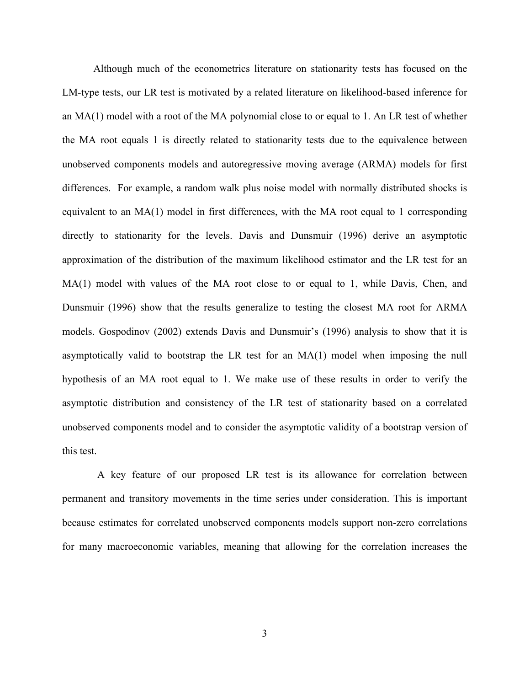Although much of the econometrics literature on stationarity tests has focused on the LM-type tests, our LR test is motivated by a related literature on likelihood-based inference for an MA(1) model with a root of the MA polynomial close to or equal to 1. An LR test of whether the MA root equals 1 is directly related to stationarity tests due to the equivalence between unobserved components models and autoregressive moving average (ARMA) models for first differences. For example, a random walk plus noise model with normally distributed shocks is equivalent to an MA(1) model in first differences, with the MA root equal to 1 corresponding directly to stationarity for the levels. Davis and Dunsmuir (1996) derive an asymptotic approximation of the distribution of the maximum likelihood estimator and the LR test for an MA(1) model with values of the MA root close to or equal to 1, while Davis, Chen, and Dunsmuir (1996) show that the results generalize to testing the closest MA root for ARMA models. Gospodinov (2002) extends Davis and Dunsmuir's (1996) analysis to show that it is asymptotically valid to bootstrap the LR test for an MA(1) model when imposing the null hypothesis of an MA root equal to 1. We make use of these results in order to verify the asymptotic distribution and consistency of the LR test of stationarity based on a correlated unobserved components model and to consider the asymptotic validity of a bootstrap version of this test.

A key feature of our proposed LR test is its allowance for correlation between permanent and transitory movements in the time series under consideration. This is important because estimates for correlated unobserved components models support non-zero correlations for many macroeconomic variables, meaning that allowing for the correlation increases the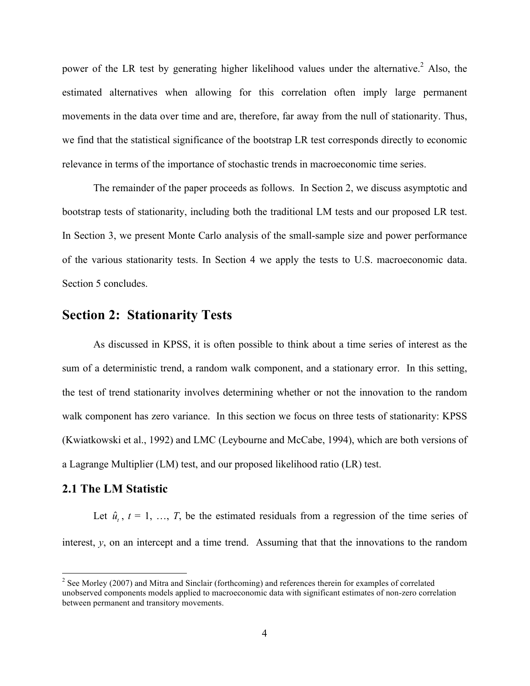power of the LR test by generating higher likelihood values under the alternative.<sup>2</sup> Also, the estimated alternatives when allowing for this correlation often imply large permanent movements in the data over time and are, therefore, far away from the null of stationarity. Thus, we find that the statistical significance of the bootstrap LR test corresponds directly to economic relevance in terms of the importance of stochastic trends in macroeconomic time series.

The remainder of the paper proceeds as follows. In Section 2, we discuss asymptotic and bootstrap tests of stationarity, including both the traditional LM tests and our proposed LR test. In Section 3, we present Monte Carlo analysis of the small-sample size and power performance of the various stationarity tests. In Section 4 we apply the tests to U.S. macroeconomic data. Section 5 concludes.

## **Section 2: Stationarity Tests**

As discussed in KPSS, it is often possible to think about a time series of interest as the sum of a deterministic trend, a random walk component, and a stationary error. In this setting, the test of trend stationarity involves determining whether or not the innovation to the random walk component has zero variance. In this section we focus on three tests of stationarity: KPSS (Kwiatkowski et al., 1992) and LMC (Leybourne and McCabe, 1994), which are both versions of a Lagrange Multiplier (LM) test, and our proposed likelihood ratio (LR) test.

## **2.1 The LM Statistic**

Let  $\hat{u}_t$ ,  $t = 1, \ldots, T$ , be the estimated residuals from a regression of the time series of interest, *y*, on an intercept and a time trend. Assuming that that the innovations to the random

 $2$  See Morley (2007) and Mitra and Sinclair (forthcoming) and references therein for examples of correlated unobserved components models applied to macroeconomic data with significant estimates of non-zero correlation between permanent and transitory movements.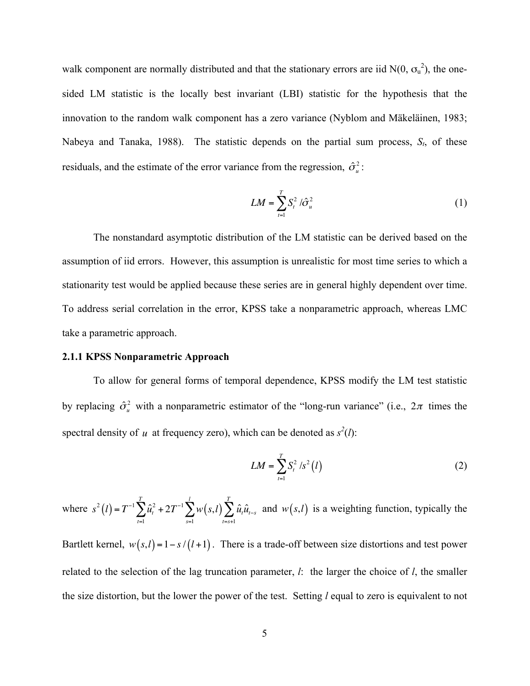walk component are normally distributed and that the stationary errors are iid  $N(0, \sigma_u^2)$ , the onesided LM statistic is the locally best invariant (LBI) statistic for the hypothesis that the innovation to the random walk component has a zero variance (Nyblom and Mäkeläinen, 1983; Nabeya and Tanaka, 1988). The statistic depends on the partial sum process, *St*, of these residuals, and the estimate of the error variance from the regression,  $\hat{\sigma}_u^2$ :

$$
LM = \sum_{t=1}^{T} S_t^2 / \hat{\sigma}_u^2
$$
 (1)

The nonstandard asymptotic distribution of the LM statistic can be derived based on the assumption of iid errors. However, this assumption is unrealistic for most time series to which a stationarity test would be applied because these series are in general highly dependent over time. To address serial correlation in the error, KPSS take a nonparametric approach, whereas LMC take a parametric approach.

#### **2.1.1 KPSS Nonparametric Approach**

To allow for general forms of temporal dependence, KPSS modify the LM test statistic by replacing  $\hat{\sigma}_u^2$  with a nonparametric estimator of the "long-run variance" (i.e.,  $2\pi$  times the spectral density of *u* at frequency zero), which can be denoted as  $s^2(l)$ :

$$
LM = \sum_{t=1}^{T} S_t^2 / s^2 (l)
$$
 (2)

where  $s^2(l) = T^{-1} \sum_l \hat{u}_t^2$ *t*=1  $\sum^T \hat{u}_t^2 + 2T^{-1} \sum^l w(s,l)$ *s*=1  $\sum^l w\big(s,l\big) \sum^T \hat{u}_\iota \hat{u}_{\iota-s}$ *t*=*s*+1  $\sum_{i=1}^{T} \hat{u}_i \hat{u}_{t-s}$  and  $w(s,l)$  is a weighting function, typically the

Bartlett kernel,  $w(s,l) = 1 - s/(l+1)$ . There is a trade-off between size distortions and test power related to the selection of the lag truncation parameter, *l*: the larger the choice of *l*, the smaller the size distortion, but the lower the power of the test. Setting *l* equal to zero is equivalent to not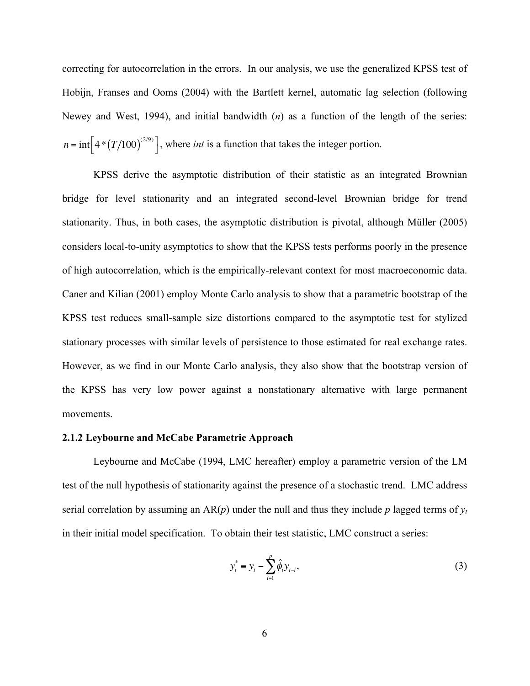correcting for autocorrelation in the errors. In our analysis, we use the generalized KPSS test of Hobijn, Franses and Ooms (2004) with the Bartlett kernel, automatic lag selection (following Newey and West, 1994), and initial bandwidth (*n*) as a function of the length of the series:  $n = \text{int} \left[ 4*(T/100)^{(2/9)} \right]$ , where *int* is a function that takes the integer portion.

KPSS derive the asymptotic distribution of their statistic as an integrated Brownian bridge for level stationarity and an integrated second-level Brownian bridge for trend stationarity. Thus, in both cases, the asymptotic distribution is pivotal, although Müller (2005) considers local-to-unity asymptotics to show that the KPSS tests performs poorly in the presence of high autocorrelation, which is the empirically-relevant context for most macroeconomic data. Caner and Kilian (2001) employ Monte Carlo analysis to show that a parametric bootstrap of the KPSS test reduces small-sample size distortions compared to the asymptotic test for stylized stationary processes with similar levels of persistence to those estimated for real exchange rates. However, as we find in our Monte Carlo analysis, they also show that the bootstrap version of the KPSS has very low power against a nonstationary alternative with large permanent movements.

#### **2.1.2 Leybourne and McCabe Parametric Approach**

Leybourne and McCabe (1994, LMC hereafter) employ a parametric version of the LM test of the null hypothesis of stationarity against the presence of a stochastic trend. LMC address serial correlation by assuming an  $AR(p)$  under the null and thus they include p lagged terms of  $y_t$ in their initial model specification. To obtain their test statistic, LMC construct a series:

$$
y_t^* = y_t - \sum_{i=1}^p \hat{\phi}_i y_{t-i},
$$
 (3)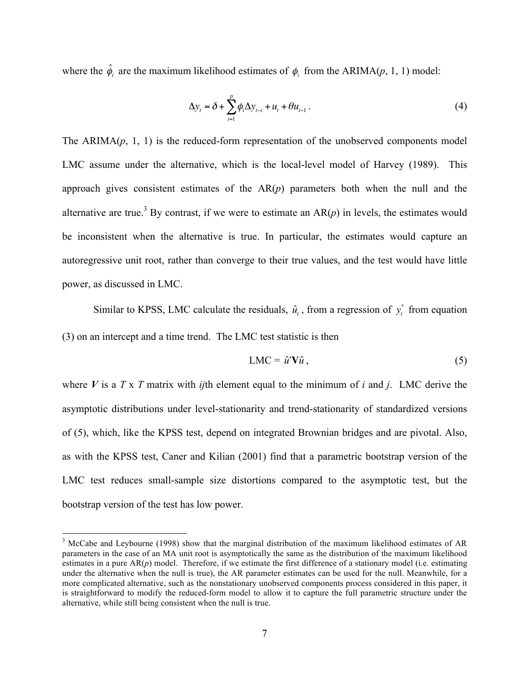where the  $\hat{\phi}_i$  are the maximum likelihood estimates of  $\phi_i$  from the ARIMA(*p*, 1, 1) model:

$$
\Delta y_t = \delta + \sum_{i=1}^p \phi_i \Delta y_{t-i} + u_t + \theta u_{t-1} \tag{4}
$$

The  $ARIMA(p, 1, 1)$  is the reduced-form representation of the unobserved components model LMC assume under the alternative, which is the local-level model of Harvey (1989). This approach gives consistent estimates of the  $AR(p)$  parameters both when the null and the alternative are true.<sup>3</sup> By contrast, if we were to estimate an  $AR(p)$  in levels, the estimates would be inconsistent when the alternative is true. In particular, the estimates would capture an autoregressive unit root, rather than converge to their true values, and the test would have little power, as discussed in LMC.

Similar to KPSS, LMC calculate the residuals,  $\hat{u}_t$ , from a regression of  $y_t^*$  from equation (3) on an intercept and a time trend. The LMC test statistic is then

$$
LMC = \hat{u}' \mathbf{V} \hat{u} \,, \tag{5}
$$

where *V* is a *T* x *T* matrix with *ij*th element equal to the minimum of *i* and *j*. LMC derive the asymptotic distributions under level-stationarity and trend-stationarity of standardized versions of (5), which, like the KPSS test, depend on integrated Brownian bridges and are pivotal. Also, as with the KPSS test, Caner and Kilian (2001) find that a parametric bootstrap version of the LMC test reduces small-sample size distortions compared to the asymptotic test, but the bootstrap version of the test has low power.

<sup>&</sup>lt;sup>3</sup> McCabe and Leybourne (1998) show that the marginal distribution of the maximum likelihood estimates of AR parameters in the case of an MA unit root is asymptotically the same as the distribution of the maximum likelihood estimates in a pure AR(*p*) model. Therefore, if we estimate the first difference of a stationary model (i.e. estimating under the alternative when the null is true), the AR parameter estimates can be used for the null. Meanwhile, for a more complicated alternative, such as the nonstationary unobserved components process considered in this paper, it is straightforward to modify the reduced-form model to allow it to capture the full parametric structure under the alternative, while still being consistent when the null is true.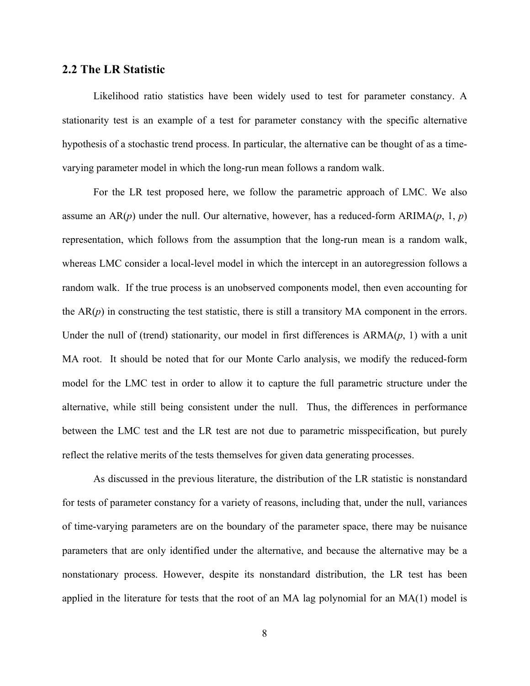### **2.2 The LR Statistic**

Likelihood ratio statistics have been widely used to test for parameter constancy. A stationarity test is an example of a test for parameter constancy with the specific alternative hypothesis of a stochastic trend process. In particular, the alternative can be thought of as a timevarying parameter model in which the long-run mean follows a random walk.

For the LR test proposed here, we follow the parametric approach of LMC. We also assume an  $AR(p)$  under the null. Our alternative, however, has a reduced-form  $ARIMA(p, 1, p)$ representation, which follows from the assumption that the long-run mean is a random walk, whereas LMC consider a local-level model in which the intercept in an autoregression follows a random walk. If the true process is an unobserved components model, then even accounting for the  $AR(p)$  in constructing the test statistic, there is still a transitory MA component in the errors. Under the null of (trend) stationarity, our model in first differences is ARMA(*p*, 1) with a unit MA root. It should be noted that for our Monte Carlo analysis, we modify the reduced-form model for the LMC test in order to allow it to capture the full parametric structure under the alternative, while still being consistent under the null. Thus, the differences in performance between the LMC test and the LR test are not due to parametric misspecification, but purely reflect the relative merits of the tests themselves for given data generating processes.

As discussed in the previous literature, the distribution of the LR statistic is nonstandard for tests of parameter constancy for a variety of reasons, including that, under the null, variances of time-varying parameters are on the boundary of the parameter space, there may be nuisance parameters that are only identified under the alternative, and because the alternative may be a nonstationary process. However, despite its nonstandard distribution, the LR test has been applied in the literature for tests that the root of an MA lag polynomial for an MA(1) model is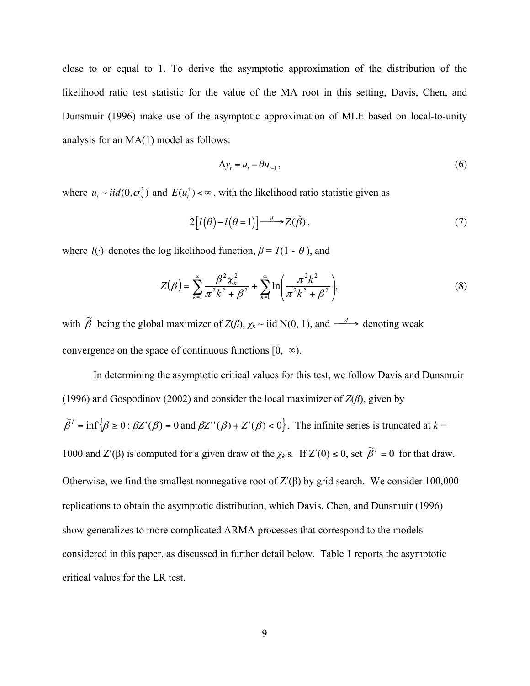close to or equal to 1. To derive the asymptotic approximation of the distribution of the likelihood ratio test statistic for the value of the MA root in this setting, Davis, Chen, and Dunsmuir (1996) make use of the asymptotic approximation of MLE based on local-to-unity analysis for an MA(1) model as follows:

$$
\Delta y_t = u_t - \theta u_{t-1},\tag{6}
$$

where  $u_t \sim \text{i}id(0, \sigma_u^2)$  and  $E(u_t^4) < \infty$ , with the likelihood ratio statistic given as

$$
2[l(\theta)-l(\theta=1)] \xrightarrow{d} Z(\tilde{\beta}), \qquad (7)
$$

where  $l(\cdot)$  denotes the log likelihood function,  $\beta = T(1 - \theta)$ , and

$$
Z(\beta) = \sum_{k=1}^{\infty} \frac{\beta^2 \chi_k^2}{\pi^2 k^2 + \beta^2} + \sum_{k=1}^{\infty} \ln\left(\frac{\pi^2 k^2}{\pi^2 k^2 + \beta^2}\right),
$$
 (8)

with  $\tilde{\beta}$  being the global maximizer of  $Z(\beta)$ ,  $\chi_k \sim$  iid N(0, 1), and  $\frac{d}{d}$  denoting weak convergence on the space of continuous functions  $[0, \infty)$ .

In determining the asymptotic critical values for this test, we follow Davis and Dunsmuir (1996) and Gospodinov (2002) and consider the local maximizer of *Z*(*β*), given by  $\tilde{\beta}^i$  = inf  $\{\beta \ge 0 : \beta Z^i(\beta) = 0 \text{ and } \beta Z^{i'}(\beta) + Z^i(\beta) < 0\}$ . The infinite series is truncated at  $k = 0$ 1000 and Z'(β) is computed for a given draw of the  $χ_k$ 's. If Z'(0) ≤ 0, set  $\tilde{\beta}^i = 0$  for that draw. Otherwise, we find the smallest nonnegative root of  $Z'(\beta)$  by grid search. We consider 100,000 replications to obtain the asymptotic distribution, which Davis, Chen, and Dunsmuir (1996) show generalizes to more complicated ARMA processes that correspond to the models considered in this paper, as discussed in further detail below. Table 1 reports the asymptotic critical values for the LR test.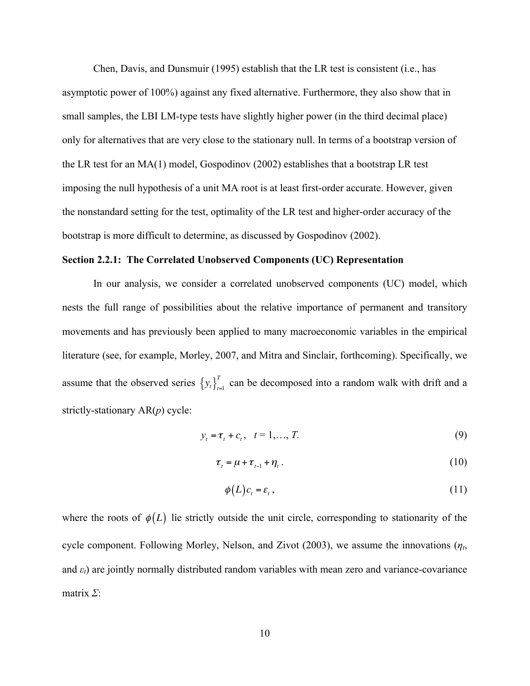Chen, Davis, and Dunsmuir (1995) establish that the LR test is consistent (i.e., has asymptotic power of 100%) against any fixed alternative. Furthermore, they also show that in small samples, the LBI LM-type tests have slightly higher power (in the third decimal place) only for alternatives that are very close to the stationary null. In terms of a bootstrap version of the LR test for an MA(1) model, Gospodinov (2002) establishes that a bootstrap LR test imposing the null hypothesis of a unit MA root is at least first-order accurate. However, given the nonstandard setting for the test, optimality of the LR test and higher-order accuracy of the bootstrap is more difficult to determine, as discussed by Gospodinov (2002).

#### **Section 2.2.1: The Correlated Unobserved Components (UC) Representation**

In our analysis, we consider a correlated unobserved components (UC) model, which nests the full range of possibilities about the relative importance of permanent and transitory movements and has previously been applied to many macroeconomic variables in the empirical literature (see, for example, Morley, 2007, and Mitra and Sinclair, forthcoming). Specifically, we assume that the observed series  $\{y_t\}_{t=1}^T$  can be decomposed into a random walk with drift and a strictly-stationary AR(*p*) cycle:

$$
y_t = \tau_t + c_t, \quad t = 1, ..., T. \tag{9}
$$

$$
\tau_t = \mu + \tau_{t-1} + \eta_t \,. \tag{10}
$$

$$
\phi(L)c_t = \varepsilon_t, \qquad (11)
$$

where the roots of  $\phi(L)$  lie strictly outside the unit circle, corresponding to stationarity of the cycle component. Following Morley, Nelson, and Zivot (2003), we assume the innovations (*ηt*, and  $\varepsilon_t$ ) are jointly normally distributed random variables with mean zero and variance-covariance matrix *Σ*: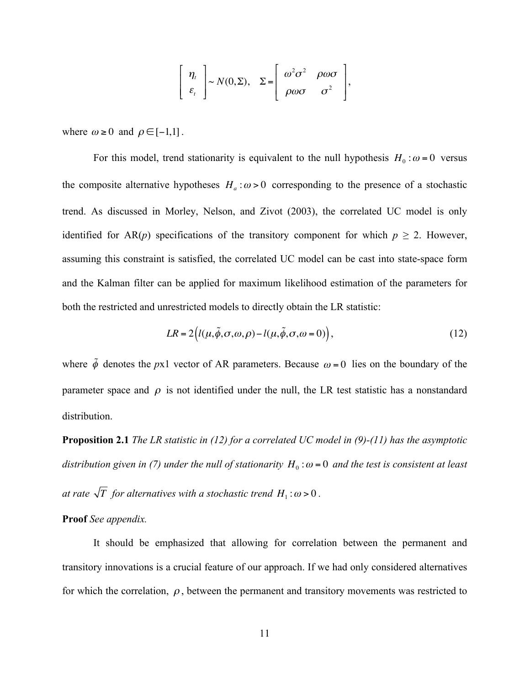$$
\left[\begin{array}{c}\eta_t\\\varepsilon_t\end{array}\right] \sim N(0,\Sigma), \quad \Sigma = \left[\begin{array}{cc}\omega^2\sigma^2 & \rho\omega\sigma\\\rho\omega\sigma & \sigma^2\end{array}\right],
$$

where  $\omega \geq 0$  and  $\rho \in [-1,1]$ .

For this model, trend stationarity is equivalent to the null hypothesis  $H_0$ :  $\omega = 0$  versus the composite alternative hypotheses  $H_a$ :  $\omega > 0$  corresponding to the presence of a stochastic trend. As discussed in Morley, Nelson, and Zivot (2003), the correlated UC model is only identified for AR(*p*) specifications of the transitory component for which  $p \ge 2$ . However, assuming this constraint is satisfied, the correlated UC model can be cast into state-space form and the Kalman filter can be applied for maximum likelihood estimation of the parameters for both the restricted and unrestricted models to directly obtain the LR statistic:

$$
LR = 2(l(\mu, \tilde{\phi}, \sigma, \omega, \rho) - l(\mu, \tilde{\phi}, \sigma, \omega = 0)),
$$
\n(12)

where  $\tilde{\phi}$  denotes the *px1* vector of AR parameters. Because  $\omega = 0$  lies on the boundary of the parameter space and  $\rho$  is not identified under the null, the LR test statistic has a nonstandard distribution.

**Proposition 2.1** *The LR statistic in (12) for a correlated UC model in (9)-(11) has the asymptotic distribution given in (7) under the null of stationarity*  $H_0$ : $\omega = 0$  *and the test is consistent at least at rate*  $\sqrt{T}$  *for alternatives with a stochastic trend*  $H_1$ :  $\omega$  > 0.

#### **Proof** *See appendix.*

It should be emphasized that allowing for correlation between the permanent and transitory innovations is a crucial feature of our approach. If we had only considered alternatives for which the correlation,  $\rho$ , between the permanent and transitory movements was restricted to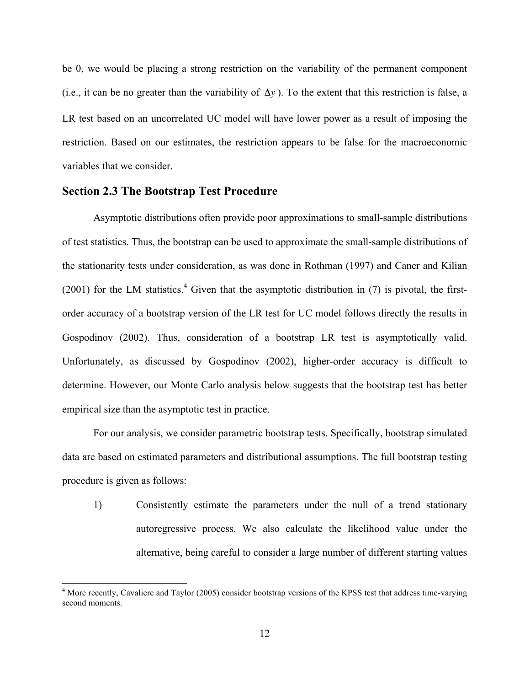be 0, we would be placing a strong restriction on the variability of the permanent component (i.e., it can be no greater than the variability of  $\Delta y$ ). To the extent that this restriction is false, a LR test based on an uncorrelated UC model will have lower power as a result of imposing the restriction. Based on our estimates, the restriction appears to be false for the macroeconomic variables that we consider.

#### **Section 2.3 The Bootstrap Test Procedure**

Asymptotic distributions often provide poor approximations to small-sample distributions of test statistics. Thus, the bootstrap can be used to approximate the small-sample distributions of the stationarity tests under consideration, as was done in Rothman (1997) and Caner and Kilian  $(2001)$  for the LM statistics.<sup>4</sup> Given that the asymptotic distribution in (7) is pivotal, the firstorder accuracy of a bootstrap version of the LR test for UC model follows directly the results in Gospodinov (2002). Thus, consideration of a bootstrap LR test is asymptotically valid. Unfortunately, as discussed by Gospodinov (2002), higher-order accuracy is difficult to determine. However, our Monte Carlo analysis below suggests that the bootstrap test has better empirical size than the asymptotic test in practice.

For our analysis, we consider parametric bootstrap tests. Specifically, bootstrap simulated data are based on estimated parameters and distributional assumptions. The full bootstrap testing procedure is given as follows:

1) Consistently estimate the parameters under the null of a trend stationary autoregressive process. We also calculate the likelihood value under the alternative, being careful to consider a large number of different starting values

<sup>&</sup>lt;sup>4</sup> More recently, Cavaliere and Taylor (2005) consider bootstrap versions of the KPSS test that address time-varying second moments.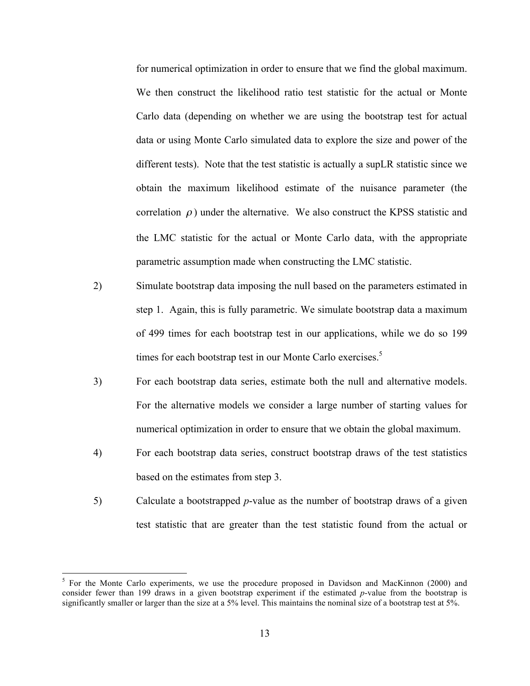for numerical optimization in order to ensure that we find the global maximum. We then construct the likelihood ratio test statistic for the actual or Monte Carlo data (depending on whether we are using the bootstrap test for actual data or using Monte Carlo simulated data to explore the size and power of the different tests). Note that the test statistic is actually a supLR statistic since we obtain the maximum likelihood estimate of the nuisance parameter (the correlation  $\rho$ ) under the alternative. We also construct the KPSS statistic and the LMC statistic for the actual or Monte Carlo data, with the appropriate parametric assumption made when constructing the LMC statistic.

- 2) Simulate bootstrap data imposing the null based on the parameters estimated in step 1. Again, this is fully parametric. We simulate bootstrap data a maximum of 499 times for each bootstrap test in our applications, while we do so 199 times for each bootstrap test in our Monte Carlo exercises.<sup>5</sup>
- 3) For each bootstrap data series, estimate both the null and alternative models. For the alternative models we consider a large number of starting values for numerical optimization in order to ensure that we obtain the global maximum.
- 4) For each bootstrap data series, construct bootstrap draws of the test statistics based on the estimates from step 3.
- 5) Calculate a bootstrapped *p*-value as the number of bootstrap draws of a given test statistic that are greater than the test statistic found from the actual or

 $<sup>5</sup>$  For the Monte Carlo experiments, we use the procedure proposed in Davidson and MacKinnon (2000) and</sup> consider fewer than 199 draws in a given bootstrap experiment if the estimated *p*-value from the bootstrap is significantly smaller or larger than the size at a 5% level. This maintains the nominal size of a bootstrap test at 5%.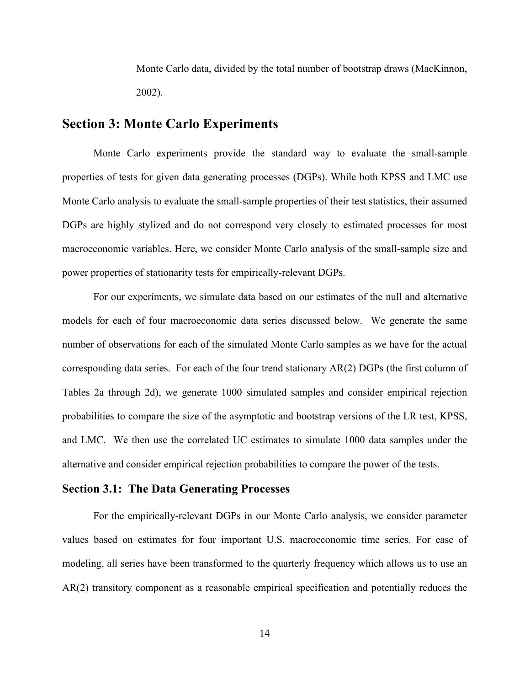Monte Carlo data, divided by the total number of bootstrap draws (MacKinnon, 2002).

## **Section 3: Monte Carlo Experiments**

Monte Carlo experiments provide the standard way to evaluate the small-sample properties of tests for given data generating processes (DGPs). While both KPSS and LMC use Monte Carlo analysis to evaluate the small-sample properties of their test statistics, their assumed DGPs are highly stylized and do not correspond very closely to estimated processes for most macroeconomic variables. Here, we consider Monte Carlo analysis of the small-sample size and power properties of stationarity tests for empirically-relevant DGPs.

For our experiments, we simulate data based on our estimates of the null and alternative models for each of four macroeconomic data series discussed below. We generate the same number of observations for each of the simulated Monte Carlo samples as we have for the actual corresponding data series. For each of the four trend stationary AR(2) DGPs (the first column of Tables 2a through 2d), we generate 1000 simulated samples and consider empirical rejection probabilities to compare the size of the asymptotic and bootstrap versions of the LR test, KPSS, and LMC. We then use the correlated UC estimates to simulate 1000 data samples under the alternative and consider empirical rejection probabilities to compare the power of the tests.

## **Section 3.1: The Data Generating Processes**

For the empirically-relevant DGPs in our Monte Carlo analysis, we consider parameter values based on estimates for four important U.S. macroeconomic time series. For ease of modeling, all series have been transformed to the quarterly frequency which allows us to use an AR(2) transitory component as a reasonable empirical specification and potentially reduces the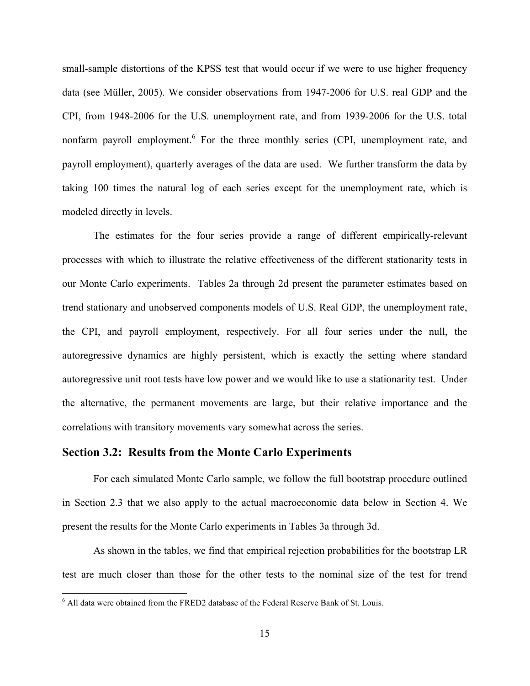small-sample distortions of the KPSS test that would occur if we were to use higher frequency data (see Müller, 2005). We consider observations from 1947-2006 for U.S. real GDP and the CPI, from 1948-2006 for the U.S. unemployment rate, and from 1939-2006 for the U.S. total nonfarm payroll employment.<sup>6</sup> For the three monthly series (CPI, unemployment rate, and payroll employment), quarterly averages of the data are used. We further transform the data by taking 100 times the natural log of each series except for the unemployment rate, which is modeled directly in levels.

The estimates for the four series provide a range of different empirically-relevant processes with which to illustrate the relative effectiveness of the different stationarity tests in our Monte Carlo experiments. Tables 2a through 2d present the parameter estimates based on trend stationary and unobserved components models of U.S. Real GDP, the unemployment rate, the CPI, and payroll employment, respectively. For all four series under the null, the autoregressive dynamics are highly persistent, which is exactly the setting where standard autoregressive unit root tests have low power and we would like to use a stationarity test. Under the alternative, the permanent movements are large, but their relative importance and the correlations with transitory movements vary somewhat across the series.

### **Section 3.2: Results from the Monte Carlo Experiments**

For each simulated Monte Carlo sample, we follow the full bootstrap procedure outlined in Section 2.3 that we also apply to the actual macroeconomic data below in Section 4. We present the results for the Monte Carlo experiments in Tables 3a through 3d.

As shown in the tables, we find that empirical rejection probabilities for the bootstrap LR test are much closer than those for the other tests to the nominal size of the test for trend

 <sup>6</sup> All data were obtained from the FRED2 database of the Federal Reserve Bank of St. Louis.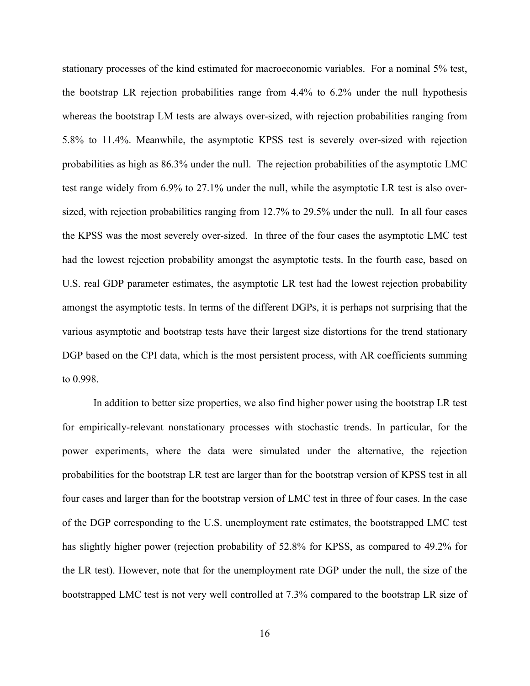stationary processes of the kind estimated for macroeconomic variables. For a nominal 5% test, the bootstrap LR rejection probabilities range from 4.4% to 6.2% under the null hypothesis whereas the bootstrap LM tests are always over-sized, with rejection probabilities ranging from 5.8% to 11.4%. Meanwhile, the asymptotic KPSS test is severely over-sized with rejection probabilities as high as 86.3% under the null. The rejection probabilities of the asymptotic LMC test range widely from 6.9% to 27.1% under the null, while the asymptotic LR test is also oversized, with rejection probabilities ranging from 12.7% to 29.5% under the null. In all four cases the KPSS was the most severely over-sized. In three of the four cases the asymptotic LMC test had the lowest rejection probability amongst the asymptotic tests. In the fourth case, based on U.S. real GDP parameter estimates, the asymptotic LR test had the lowest rejection probability amongst the asymptotic tests. In terms of the different DGPs, it is perhaps not surprising that the various asymptotic and bootstrap tests have their largest size distortions for the trend stationary DGP based on the CPI data, which is the most persistent process, with AR coefficients summing to 0.998.

In addition to better size properties, we also find higher power using the bootstrap LR test for empirically-relevant nonstationary processes with stochastic trends. In particular, for the power experiments, where the data were simulated under the alternative, the rejection probabilities for the bootstrap LR test are larger than for the bootstrap version of KPSS test in all four cases and larger than for the bootstrap version of LMC test in three of four cases. In the case of the DGP corresponding to the U.S. unemployment rate estimates, the bootstrapped LMC test has slightly higher power (rejection probability of 52.8% for KPSS, as compared to 49.2% for the LR test). However, note that for the unemployment rate DGP under the null, the size of the bootstrapped LMC test is not very well controlled at 7.3% compared to the bootstrap LR size of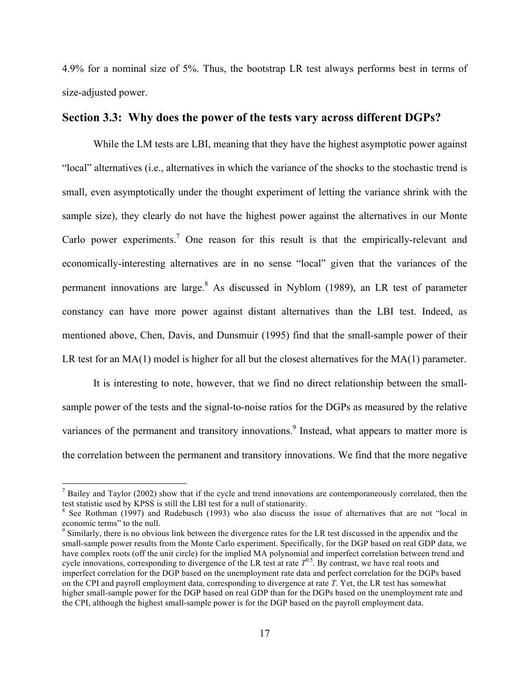4.9% for a nominal size of 5%. Thus, the bootstrap LR test always performs best in terms of size-adjusted power.

### **Section 3.3: Why does the power of the tests vary across different DGPs?**

While the LM tests are LBI, meaning that they have the highest asymptotic power against "local" alternatives (i.e., alternatives in which the variance of the shocks to the stochastic trend is small, even asymptotically under the thought experiment of letting the variance shrink with the sample size), they clearly do not have the highest power against the alternatives in our Monte Carlo power experiments.<sup>7</sup> One reason for this result is that the empirically-relevant and economically-interesting alternatives are in no sense "local" given that the variances of the permanent innovations are large.<sup>8</sup> As discussed in Nyblom (1989), an LR test of parameter constancy can have more power against distant alternatives than the LBI test. Indeed, as mentioned above, Chen, Davis, and Dunsmuir (1995) find that the small-sample power of their LR test for an  $MA(1)$  model is higher for all but the closest alternatives for the  $MA(1)$  parameter.

It is interesting to note, however, that we find no direct relationship between the smallsample power of the tests and the signal-to-noise ratios for the DGPs as measured by the relative variances of the permanent and transitory innovations.<sup>9</sup> Instead, what appears to matter more is the correlation between the permanent and transitory innovations. We find that the more negative

<sup>&</sup>lt;sup>7</sup> Bailey and Taylor (2002) show that if the cycle and trend innovations are contemporaneously correlated, then the test statistic used by KPSS is still the LBI test for a null of stationarity.<br><sup>8</sup> See Rothman (1997) and Rudebusch (1993) who also discuss the issue of alternatives that are not "local in

economic terms" to the null.

<sup>&</sup>lt;sup>9</sup> Similarly, there is no obvious link between the divergence rates for the LR test discussed in the appendix and the small-sample power results from the Monte Carlo experiment. Specifically, for the DGP based on real GDP data, we have complex roots (off the unit circle) for the implied MA polynomial and imperfect correlation between trend and cycle innovations, corresponding to divergence of the LR test at rate  $T^{0.5}$ . By contrast, we have real roots and imperfect correlation for the DGP based on the unemployment rate data and perfect correlation for the DGPs based on the CPI and payroll employment data, corresponding to divergence at rate *T*. Yet, the LR test has somewhat higher small-sample power for the DGP based on real GDP than for the DGPs based on the unemployment rate and the CPI, although the highest small-sample power is for the DGP based on the payroll employment data.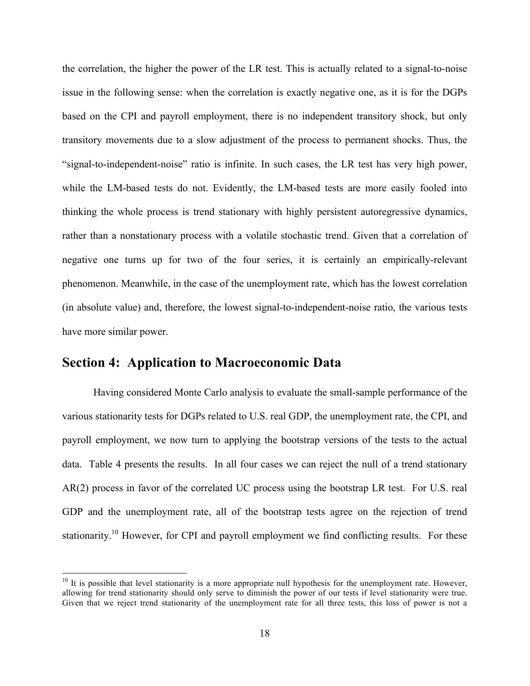the correlation, the higher the power of the LR test. This is actually related to a signal-to-noise issue in the following sense: when the correlation is exactly negative one, as it is for the DGPs based on the CPI and payroll employment, there is no independent transitory shock, but only transitory movements due to a slow adjustment of the process to permanent shocks. Thus, the "signal-to-independent-noise" ratio is infinite. In such cases, the LR test has very high power, while the LM-based tests do not. Evidently, the LM-based tests are more easily fooled into thinking the whole process is trend stationary with highly persistent autoregressive dynamics, rather than a nonstationary process with a volatile stochastic trend. Given that a correlation of negative one turns up for two of the four series, it is certainly an empirically-relevant phenomenon. Meanwhile, in the case of the unemployment rate, which has the lowest correlation (in absolute value) and, therefore, the lowest signal-to-independent-noise ratio, the various tests have more similar power.

## **Section 4: Application to Macroeconomic Data**

Having considered Monte Carlo analysis to evaluate the small-sample performance of the various stationarity tests for DGPs related to U.S. real GDP, the unemployment rate, the CPI, and payroll employment, we now turn to applying the bootstrap versions of the tests to the actual data. Table 4 presents the results. In all four cases we can reject the null of a trend stationary AR(2) process in favor of the correlated UC process using the bootstrap LR test. For U.S. real GDP and the unemployment rate, all of the bootstrap tests agree on the rejection of trend stationarity.<sup>10</sup> However, for CPI and payroll employment we find conflicting results. For these

 $10$  It is possible that level stationarity is a more appropriate null hypothesis for the unemployment rate. However, allowing for trend stationarity should only serve to diminish the power of our tests if level stationarity were true. Given that we reject trend stationarity of the unemployment rate for all three tests, this loss of power is not a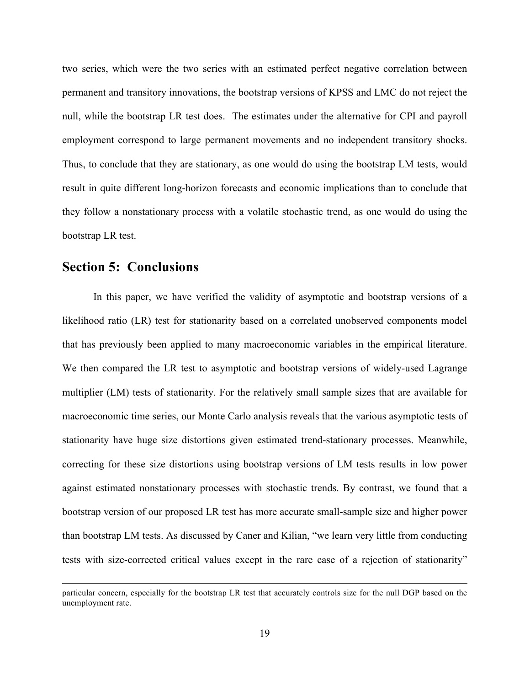two series, which were the two series with an estimated perfect negative correlation between permanent and transitory innovations, the bootstrap versions of KPSS and LMC do not reject the null, while the bootstrap LR test does. The estimates under the alternative for CPI and payroll employment correspond to large permanent movements and no independent transitory shocks. Thus, to conclude that they are stationary, as one would do using the bootstrap LM tests, would result in quite different long-horizon forecasts and economic implications than to conclude that they follow a nonstationary process with a volatile stochastic trend, as one would do using the bootstrap LR test.

## **Section 5: Conclusions**

In this paper, we have verified the validity of asymptotic and bootstrap versions of a likelihood ratio (LR) test for stationarity based on a correlated unobserved components model that has previously been applied to many macroeconomic variables in the empirical literature. We then compared the LR test to asymptotic and bootstrap versions of widely-used Lagrange multiplier (LM) tests of stationarity. For the relatively small sample sizes that are available for macroeconomic time series, our Monte Carlo analysis reveals that the various asymptotic tests of stationarity have huge size distortions given estimated trend-stationary processes. Meanwhile, correcting for these size distortions using bootstrap versions of LM tests results in low power against estimated nonstationary processes with stochastic trends. By contrast, we found that a bootstrap version of our proposed LR test has more accurate small-sample size and higher power than bootstrap LM tests. As discussed by Caner and Kilian, "we learn very little from conducting tests with size-corrected critical values except in the rare case of a rejection of stationarity"

particular concern, especially for the bootstrap LR test that accurately controls size for the null DGP based on the unemployment rate.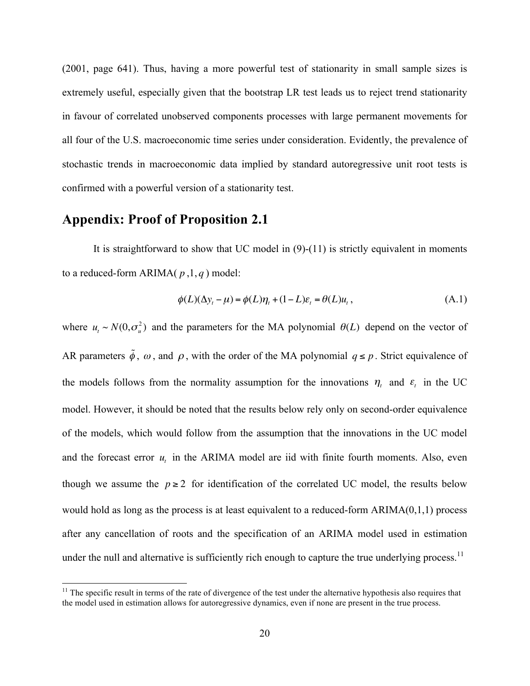(2001, page 641). Thus, having a more powerful test of stationarity in small sample sizes is extremely useful, especially given that the bootstrap LR test leads us to reject trend stationarity in favour of correlated unobserved components processes with large permanent movements for all four of the U.S. macroeconomic time series under consideration. Evidently, the prevalence of stochastic trends in macroeconomic data implied by standard autoregressive unit root tests is confirmed with a powerful version of a stationarity test.

## **Appendix: Proof of Proposition 2.1**

It is straightforward to show that UC model in (9)-(11) is strictly equivalent in moments to a reduced-form ARIMA( *p* ,1, *q* ) model:

$$
\phi(L)(\Delta y_t - \mu) = \phi(L)\eta_t + (1 - L)\varepsilon_t = \theta(L)u_t, \qquad (A.1)
$$

where  $u_t \sim N(0, \sigma_u^2)$  and the parameters for the MA polynomial  $\theta(L)$  depend on the vector of AR parameters  $\tilde{\phi}$ ,  $\omega$ , and  $\rho$ , with the order of the MA polynomial  $q \le p$ . Strict equivalence of the models follows from the normality assumption for the innovations  $\eta_t$  and  $\varepsilon_t$  in the UC model. However, it should be noted that the results below rely only on second-order equivalence of the models, which would follow from the assumption that the innovations in the UC model and the forecast error  $u_t$  in the ARIMA model are iid with finite fourth moments. Also, even though we assume the  $p \ge 2$  for identification of the correlated UC model, the results below would hold as long as the process is at least equivalent to a reduced-form ARIMA(0,1,1) process after any cancellation of roots and the specification of an ARIMA model used in estimation under the null and alternative is sufficiently rich enough to capture the true underlying process.<sup>11</sup>

 $11$  The specific result in terms of the rate of divergence of the test under the alternative hypothesis also requires that the model used in estimation allows for autoregressive dynamics, even if none are present in the true process.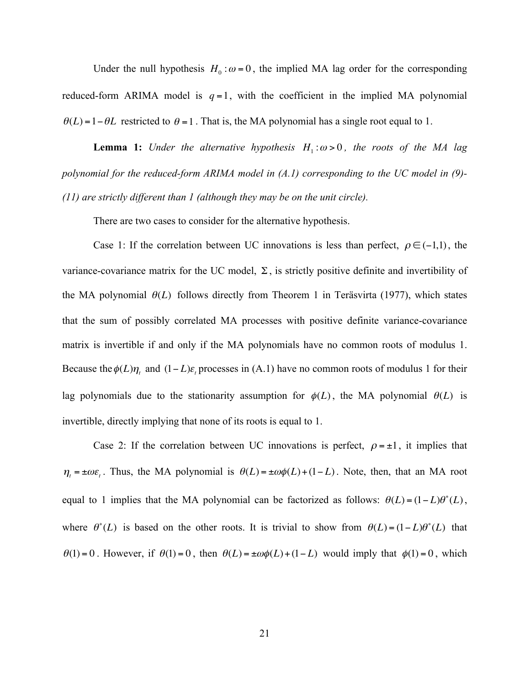Under the null hypothesis  $H_0$ :  $\omega = 0$ , the implied MA lag order for the corresponding reduced-form ARIMA model is  $q=1$ , with the coefficient in the implied MA polynomial  $\theta(L) = 1 - \theta L$  restricted to  $\theta = 1$ . That is, the MA polynomial has a single root equal to 1.

**Lemma 1:** *Under the alternative hypothesis*  $H_1: \omega > 0$ *, the roots of the MA lag polynomial for the reduced-form ARIMA model in (A.1) corresponding to the UC model in (9)- (11) are strictly different than 1 (although they may be on the unit circle).*

There are two cases to consider for the alternative hypothesis.

Case 1: If the correlation between UC innovations is less than perfect,  $\rho \in (-1,1)$ , the variance-covariance matrix for the UC model,  $\Sigma$ , is strictly positive definite and invertibility of the MA polynomial  $\theta(L)$  follows directly from Theorem 1 in Teräsvirta (1977), which states that the sum of possibly correlated MA processes with positive definite variance-covariance matrix is invertible if and only if the MA polynomials have no common roots of modulus 1. Because the  $\phi(L)\eta_t$  and  $(1-L)\varepsilon_t$  processes in (A.1) have no common roots of modulus 1 for their lag polynomials due to the stationarity assumption for  $\phi(L)$ , the MA polynomial  $\theta(L)$  is invertible, directly implying that none of its roots is equal to 1.

Case 2: If the correlation between UC innovations is perfect,  $\rho = \pm 1$ , it implies that  $\eta_t = \pm \omega \varepsilon_t$ . Thus, the MA polynomial is  $\theta(L) = \pm \omega \phi(L) + (1 - L)$ . Note, then, that an MA root equal to 1 implies that the MA polynomial can be factorized as follows:  $\theta(L) = (1 - L)\theta^*(L)$ , where  $\theta^*(L)$  is based on the other roots. It is trivial to show from  $\theta(L) = (1 - L)\theta^*(L)$  that  $\theta(1) = 0$ . However, if  $\theta(1) = 0$ , then  $\theta(L) = \pm \omega \phi(L) + (1 - L)$  would imply that  $\phi(1) = 0$ , which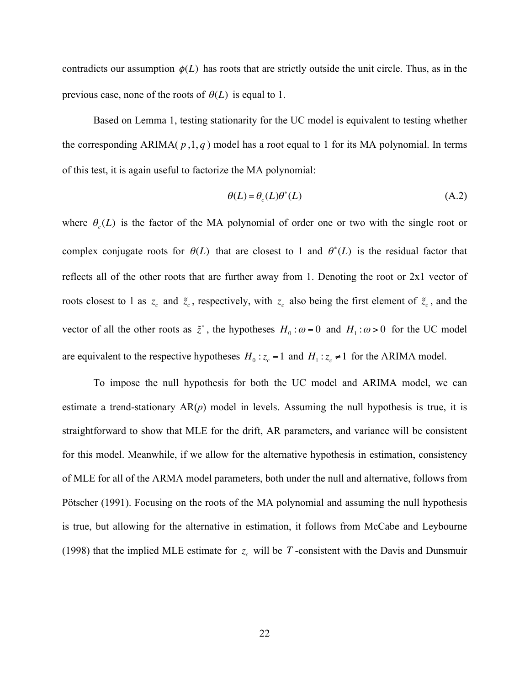contradicts our assumption  $\phi(L)$  has roots that are strictly outside the unit circle. Thus, as in the previous case, none of the roots of  $\theta(L)$  is equal to 1.

Based on Lemma 1, testing stationarity for the UC model is equivalent to testing whether the corresponding ARIMA( $p$ ,1, $q$ ) model has a root equal to 1 for its MA polynomial. In terms of this test, it is again useful to factorize the MA polynomial:

$$
\theta(L) = \theta_c(L)\theta^*(L) \tag{A.2}
$$

where  $\theta_c(L)$  is the factor of the MA polynomial of order one or two with the single root or complex conjugate roots for  $\theta(L)$  that are closest to 1 and  $\theta^*(L)$  is the residual factor that reflects all of the other roots that are further away from 1. Denoting the root or 2x1 vector of roots closest to 1 as  $z_c$  and  $\tilde{z}_c$ , respectively, with  $z_c$  also being the first element of  $\tilde{z}_c$ , and the vector of all the other roots as  $\tilde{z}^*$ , the hypotheses  $H_0: \omega = 0$  and  $H_1: \omega > 0$  for the UC model are equivalent to the respective hypotheses  $H_0: z_c = 1$  and  $H_1: z_c \neq 1$  for the ARIMA model.

To impose the null hypothesis for both the UC model and ARIMA model, we can estimate a trend-stationary AR(*p*) model in levels. Assuming the null hypothesis is true, it is straightforward to show that MLE for the drift, AR parameters, and variance will be consistent for this model. Meanwhile, if we allow for the alternative hypothesis in estimation, consistency of MLE for all of the ARMA model parameters, both under the null and alternative, follows from Pötscher (1991). Focusing on the roots of the MA polynomial and assuming the null hypothesis is true, but allowing for the alternative in estimation, it follows from McCabe and Leybourne (1998) that the implied MLE estimate for  $z_c$  will be T -consistent with the Davis and Dunsmuir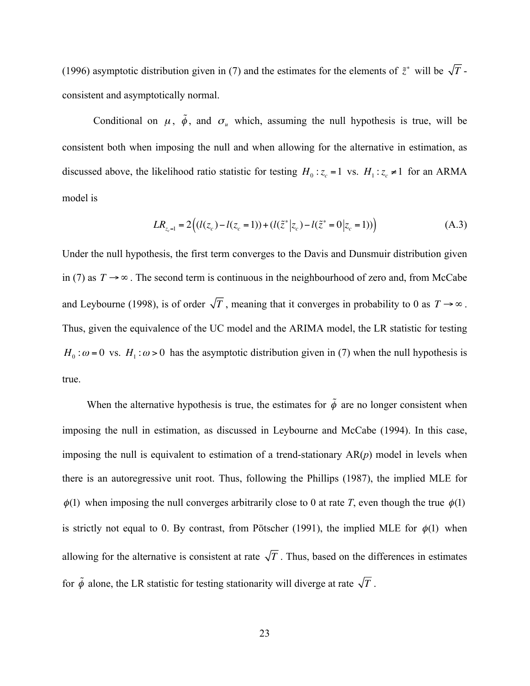(1996) asymptotic distribution given in (7) and the estimates for the elements of  $\tilde{z}^*$  will be  $\sqrt{T}$  consistent and asymptotically normal.

Conditional on  $\mu$ ,  $\tilde{\phi}$ , and  $\sigma_{\mu}$  which, assuming the null hypothesis is true, will be consistent both when imposing the null and when allowing for the alternative in estimation, as discussed above, the likelihood ratio statistic for testing  $H_0: z_c = 1$  vs.  $H_1: z_c \neq 1$  for an ARMA model is

$$
LR_{z_c=1} = 2((l(z_c) - l(z_c = 1)) + (l(\tilde{z}^* | z_c) - l(\tilde{z}^* = 0 | z_c = 1)))
$$
\n(A.3)

Under the null hypothesis, the first term converges to the Davis and Dunsmuir distribution given in (7) as  $T \rightarrow \infty$ . The second term is continuous in the neighbourhood of zero and, from McCabe and Leybourne (1998), is of order  $\sqrt{T}$ , meaning that it converges in probability to 0 as  $T \rightarrow \infty$ . Thus, given the equivalence of the UC model and the ARIMA model, the LR statistic for testing  $H_0$ :  $\omega$  = 0 vs.  $H_1$ :  $\omega$  > 0 has the asymptotic distribution given in (7) when the null hypothesis is true.

When the alternative hypothesis is true, the estimates for  $\tilde{\phi}$  are no longer consistent when imposing the null in estimation, as discussed in Leybourne and McCabe (1994). In this case, imposing the null is equivalent to estimation of a trend-stationary AR(*p*) model in levels when there is an autoregressive unit root. Thus, following the Phillips (1987), the implied MLE for  $\phi(1)$  when imposing the null converges arbitrarily close to 0 at rate *T*, even though the true  $\phi(1)$ is strictly not equal to 0. By contrast, from Pötscher (1991), the implied MLE for  $\phi(1)$  when allowing for the alternative is consistent at rate  $\sqrt{T}$ . Thus, based on the differences in estimates for  $\tilde{\phi}$  alone, the LR statistic for testing stationarity will diverge at rate  $\sqrt{T}$ .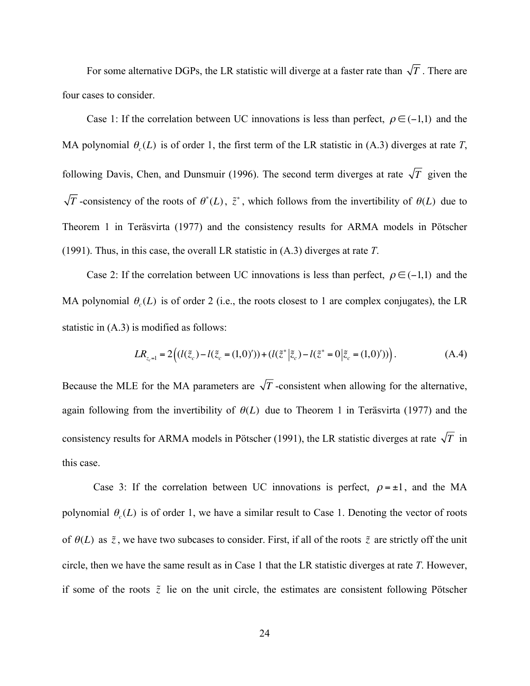For some alternative DGPs, the LR statistic will diverge at a faster rate than  $\sqrt{T}$ . There are four cases to consider.

Case 1: If the correlation between UC innovations is less than perfect,  $\rho \in (-1,1)$  and the MA polynomial  $\theta_c(L)$  is of order 1, the first term of the LR statistic in (A.3) diverges at rate *T*, following Davis, Chen, and Dunsmuir (1996). The second term diverges at rate  $\sqrt{T}$  given the *T* -consistency of the roots of  $\theta^*(L)$ ,  $\tilde{z}^*$ , which follows from the invertibility of  $\theta(L)$  due to Theorem 1 in Teräsvirta (1977) and the consistency results for ARMA models in Pötscher (1991). Thus, in this case, the overall LR statistic in (A.3) diverges at rate *T*.

Case 2: If the correlation between UC innovations is less than perfect,  $\rho \in (-1,1)$  and the MA polynomial  $\theta$ <sub>s</sub> $(L)$  is of order 2 (i.e., the roots closest to 1 are complex conjugates), the LR statistic in (A.3) is modified as follows:

$$
LR_{z_c=1} = 2((l(\tilde{z}_c) - l(\tilde{z}_c = (1,0)^{\prime})) + (l(\tilde{z}^* | \tilde{z}_c) - l(\tilde{z}^* = 0 | \tilde{z}_c = (1,0)^{\prime}))
$$
\n(A.4)

Because the MLE for the MA parameters are  $\sqrt{T}$ -consistent when allowing for the alternative, again following from the invertibility of  $\theta(L)$  due to Theorem 1 in Teräsvirta (1977) and the consistency results for ARMA models in Pötscher (1991), the LR statistic diverges at rate  $\sqrt{T}$  in this case.

Case 3: If the correlation between UC innovations is perfect,  $\rho = \pm 1$ , and the MA polynomial  $\theta_c(L)$  is of order 1, we have a similar result to Case 1. Denoting the vector of roots of  $\theta(L)$  as  $\tilde{z}$ , we have two subcases to consider. First, if all of the roots  $\tilde{z}$  are strictly off the unit circle, then we have the same result as in Case 1 that the LR statistic diverges at rate *T*. However, if some of the roots  $\tilde{z}$  lie on the unit circle, the estimates are consistent following Pötscher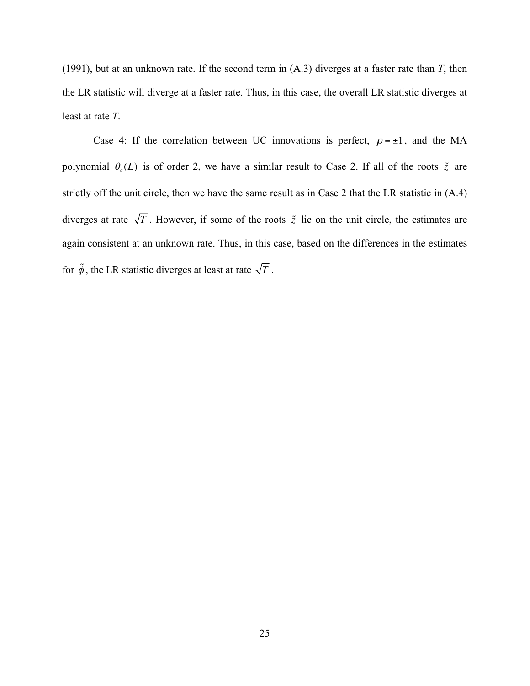(1991), but at an unknown rate. If the second term in (A.3) diverges at a faster rate than *T*, then the LR statistic will diverge at a faster rate. Thus, in this case, the overall LR statistic diverges at least at rate *T*.

Case 4: If the correlation between UC innovations is perfect,  $\rho = \pm 1$ , and the MA polynomial  $\theta_c(L)$  is of order 2, we have a similar result to Case 2. If all of the roots  $\tilde{z}$  are strictly off the unit circle, then we have the same result as in Case 2 that the LR statistic in (A.4) diverges at rate  $\sqrt{T}$ . However, if some of the roots  $\tilde{z}$  lie on the unit circle, the estimates are again consistent at an unknown rate. Thus, in this case, based on the differences in the estimates for  $\tilde{\phi}$ , the LR statistic diverges at least at rate  $\sqrt{T}$ .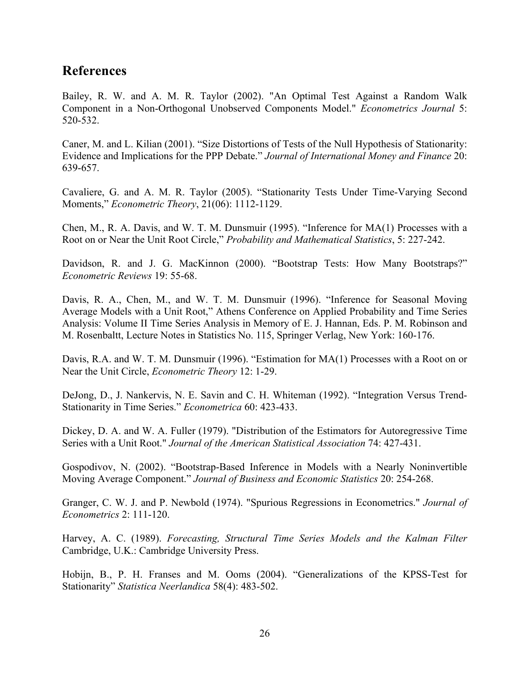## **References**

Bailey, R. W. and A. M. R. Taylor (2002). "An Optimal Test Against a Random Walk Component in a Non-Orthogonal Unobserved Components Model." *Econometrics Journal* 5: 520-532.

Caner, M. and L. Kilian (2001). "Size Distortions of Tests of the Null Hypothesis of Stationarity: Evidence and Implications for the PPP Debate." *Journal of International Money and Finance* 20: 639-657.

Cavaliere, G. and A. M. R. Taylor (2005). "Stationarity Tests Under Time-Varying Second Moments," *Econometric Theory*, 21(06): 1112-1129.

Chen, M., R. A. Davis, and W. T. M. Dunsmuir (1995). "Inference for MA(1) Processes with a Root on or Near the Unit Root Circle," *Probability and Mathematical Statistics*, 5: 227-242.

Davidson, R. and J. G. MacKinnon (2000). "Bootstrap Tests: How Many Bootstraps?" *Econometric Reviews* 19: 55-68.

Davis, R. A., Chen, M., and W. T. M. Dunsmuir (1996). "Inference for Seasonal Moving Average Models with a Unit Root," Athens Conference on Applied Probability and Time Series Analysis: Volume II Time Series Analysis in Memory of E. J. Hannan, Eds. P. M. Robinson and M. Rosenbaltt, Lecture Notes in Statistics No. 115, Springer Verlag, New York: 160-176.

Davis, R.A. and W. T. M. Dunsmuir (1996). "Estimation for MA(1) Processes with a Root on or Near the Unit Circle, *Econometric Theory* 12: 1-29.

DeJong, D., J. Nankervis, N. E. Savin and C. H. Whiteman (1992). "Integration Versus Trend-Stationarity in Time Series." *Econometrica* 60: 423-433.

Dickey, D. A. and W. A. Fuller (1979). "Distribution of the Estimators for Autoregressive Time Series with a Unit Root." *Journal of the American Statistical Association* 74: 427-431.

Gospodivov, N. (2002). "Bootstrap-Based Inference in Models with a Nearly Noninvertible Moving Average Component." *Journal of Business and Economic Statistics* 20: 254-268.

Granger, C. W. J. and P. Newbold (1974). "Spurious Regressions in Econometrics." *Journal of Econometrics* 2: 111-120.

Harvey, A. C. (1989). *Forecasting, Structural Time Series Models and the Kalman Filter* Cambridge, U.K.: Cambridge University Press.

Hobijn, B., P. H. Franses and M. Ooms (2004). "Generalizations of the KPSS-Test for Stationarity" *Statistica Neerlandica* 58(4): 483-502.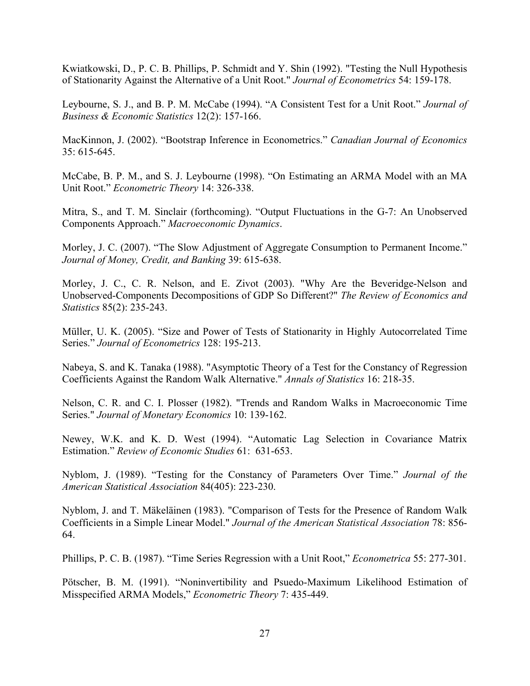Kwiatkowski, D., P. C. B. Phillips, P. Schmidt and Y. Shin (1992). "Testing the Null Hypothesis of Stationarity Against the Alternative of a Unit Root." *Journal of Econometrics* 54: 159-178.

Leybourne, S. J., and B. P. M. McCabe (1994). "A Consistent Test for a Unit Root." *Journal of Business & Economic Statistics* 12(2): 157-166.

MacKinnon, J. (2002). "Bootstrap Inference in Econometrics." *Canadian Journal of Economics* 35: 615-645.

McCabe, B. P. M., and S. J. Leybourne (1998). "On Estimating an ARMA Model with an MA Unit Root." *Econometric Theory* 14: 326-338.

Mitra, S., and T. M. Sinclair (forthcoming). "Output Fluctuations in the G-7: An Unobserved Components Approach." *Macroeconomic Dynamics*.

Morley, J. C. (2007). "The Slow Adjustment of Aggregate Consumption to Permanent Income." *Journal of Money, Credit, and Banking* 39: 615-638.

Morley, J. C., C. R. Nelson, and E. Zivot (2003). "Why Are the Beveridge-Nelson and Unobserved-Components Decompositions of GDP So Different?" *The Review of Economics and Statistics* 85(2): 235-243.

Müller, U. K. (2005). "Size and Power of Tests of Stationarity in Highly Autocorrelated Time Series." *Journal of Econometrics* 128: 195-213.

Nabeya, S. and K. Tanaka (1988). "Asymptotic Theory of a Test for the Constancy of Regression Coefficients Against the Random Walk Alternative." *Annals of Statistics* 16: 218-35.

Nelson, C. R. and C. I. Plosser (1982). "Trends and Random Walks in Macroeconomic Time Series." *Journal of Monetary Economics* 10: 139-162.

Newey, W.K. and K. D. West (1994). "Automatic Lag Selection in Covariance Matrix Estimation." *Review of Economic Studies* 61: 631-653.

Nyblom, J. (1989). "Testing for the Constancy of Parameters Over Time." *Journal of the American Statistical Association* 84(405): 223-230.

Nyblom, J. and T. Mäkeläinen (1983). "Comparison of Tests for the Presence of Random Walk Coefficients in a Simple Linear Model." *Journal of the American Statistical Association* 78: 856- 64.

Phillips, P. C. B. (1987). "Time Series Regression with a Unit Root," *Econometrica* 55: 277-301.

Pötscher, B. M. (1991). "Noninvertibility and Psuedo-Maximum Likelihood Estimation of Misspecified ARMA Models," *Econometric Theory* 7: 435-449.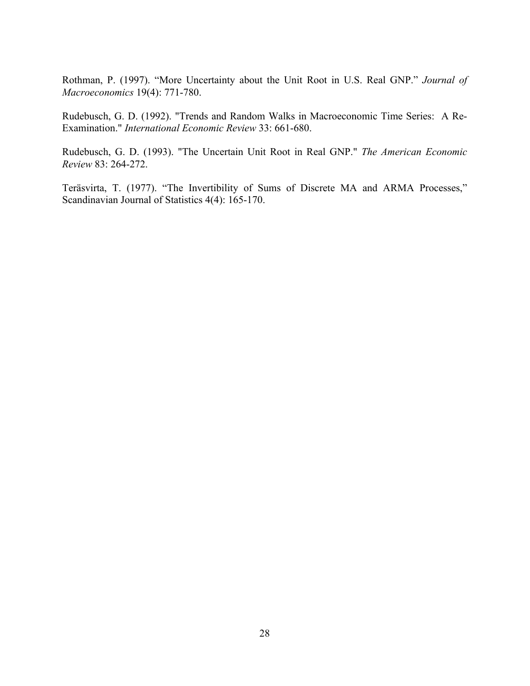Rothman, P. (1997). "More Uncertainty about the Unit Root in U.S. Real GNP." *Journal of Macroeconomics* 19(4): 771-780.

Rudebusch, G. D. (1992). "Trends and Random Walks in Macroeconomic Time Series: A Re-Examination." *International Economic Review* 33: 661-680.

Rudebusch, G. D. (1993). "The Uncertain Unit Root in Real GNP." *The American Economic Review* 83: 264-272.

Teräsvirta, T. (1977). "The Invertibility of Sums of Discrete MA and ARMA Processes," Scandinavian Journal of Statistics 4(4): 165-170.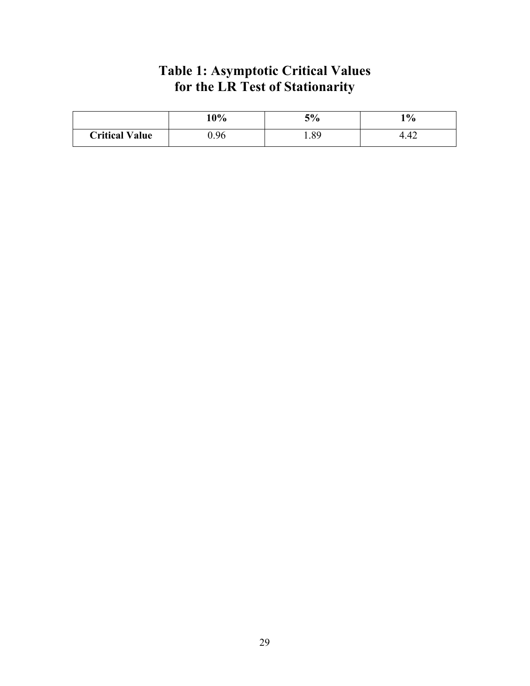# **Table 1: Asymptotic Critical Values for the LR Test of Stationarity**

|                       | 10%  | 5%   | $1\%$ |
|-----------------------|------|------|-------|
| <b>Critical Value</b> | 0.96 | 1.89 | +.4∠  |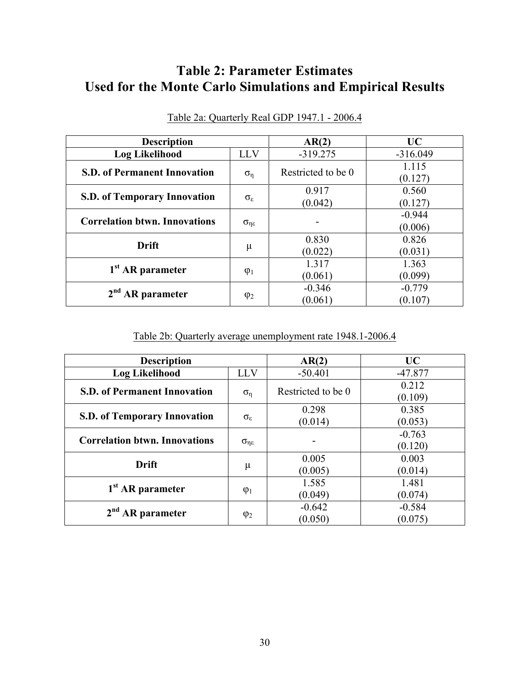# **Table 2: Parameter Estimates Used for the Monte Carlo Simulations and Empirical Results**

| <b>Description</b>                   |                         | AR(2)              | UC               |
|--------------------------------------|-------------------------|--------------------|------------------|
| <b>Log Likelihood</b>                | <b>LLV</b>              | $-319.275$         | $-316.049$       |
| <b>S.D. of Permanent Innovation</b>  | $\sigma_{\eta}$         | Restricted to be 0 | 1.115<br>(0.127) |
|                                      | $\sigma_{\epsilon}$     | 0.917              | 0.560            |
| <b>S.D. of Temporary Innovation</b>  |                         | (0.042)            | (0.127)          |
|                                      | $\sigma_{\eta\epsilon}$ |                    | $-0.944$         |
| <b>Correlation btwn. Innovations</b> |                         |                    | (0.006)          |
| <b>Drift</b>                         | μ                       | 0.830              | 0.826            |
|                                      |                         | (0.022)            | (0.031)          |
| 1 <sup>st</sup> AR parameter         | $\varphi_1$             | 1.317              | 1.363            |
|                                      |                         | (0.061)            | (0.099)          |
| 2 <sup>nd</sup>                      | $\varphi_2$             | $-0.346$           | $-0.779$         |
| <b>AR</b> parameter                  |                         | (0.061)            | (0.107)          |

Table 2a: Quarterly Real GDP 1947.1 - 2006.4

Table 2b: Quarterly average unemployment rate 1948.1-2006.4

| <b>Description</b>                   |                         | AR(2)               | UC                  |
|--------------------------------------|-------------------------|---------------------|---------------------|
| <b>Log Likelihood</b>                | <b>LLV</b>              | $-50.401$           | $-47.877$           |
| <b>S.D. of Permanent Innovation</b>  | $\sigma_{\eta}$         | Restricted to be 0  | 0.212<br>(0.109)    |
| <b>S.D. of Temporary Innovation</b>  | $\sigma_{\epsilon}$     | 0.298<br>(0.014)    | 0.385<br>(0.053)    |
| <b>Correlation btwn. Innovations</b> | $\sigma_{\eta\epsilon}$ |                     | $-0.763$<br>(0.120) |
| Drift                                | μ                       | 0.005<br>(0.005)    | 0.003<br>(0.014)    |
| 1 <sup>st</sup> AR parameter         | $\varphi_1$             | 1.585<br>(0.049)    | 1.481<br>(0.074)    |
| <b>AR</b> parameter                  | $\varphi_2$             | $-0.642$<br>(0.050) | $-0.584$<br>(0.075) |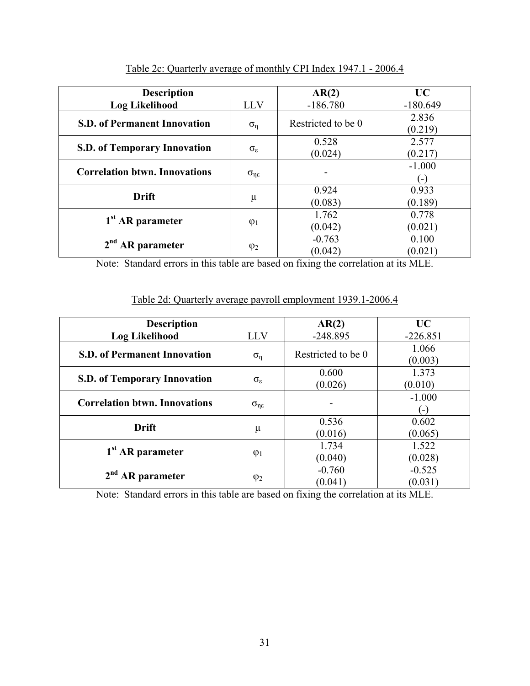| <b>Description</b>                   |                         | AR(2)               | <b>UC</b>                |
|--------------------------------------|-------------------------|---------------------|--------------------------|
| <b>Log Likelihood</b>                | LLV                     | $-186.780$          | $-180.649$               |
| <b>S.D. of Permanent Innovation</b>  | $\sigma_{\eta}$         | Restricted to be 0  | 2.836<br>(0.219)         |
| <b>S.D. of Temporary Innovation</b>  | $\sigma_{\epsilon}$     | 0.528<br>(0.024)    | 2.577<br>(0.217)         |
| <b>Correlation btwn. Innovations</b> | $\sigma_{\eta\epsilon}$ |                     | $-1.000$<br>$\mathbf{L}$ |
| <b>Drift</b>                         | $\mu$                   | 0.924<br>(0.083)    | 0.933<br>(0.189)         |
| 1 <sup>st</sup> AR parameter         | $\varphi_1$             | 1.762<br>(0.042)    | 0.778<br>(0.021)         |
| <b>AR</b> parameter                  | $\varphi_2$             | $-0.763$<br>(0.042) | 0.100<br>(0.021)         |

Table 2c: Quarterly average of monthly CPI Index 1947.1 - 2006.4

Note: Standard errors in this table are based on fixing the correlation at its MLE.

## Table 2d: Quarterly average payroll employment 1939.1-2006.4

| <b>Description</b>                   |                         | AR(2)               | <b>UC</b>           |
|--------------------------------------|-------------------------|---------------------|---------------------|
| <b>Log Likelihood</b>                | <b>LLV</b>              | $-248.895$          | $-226.851$          |
| <b>S.D. of Permanent Innovation</b>  | $\sigma_{\eta}$         | Restricted to be 0  | 1.066<br>(0.003)    |
| <b>S.D. of Temporary Innovation</b>  | $\sigma_{\epsilon}$     | 0.600<br>(0.026)    | 1.373<br>(0.010)    |
| <b>Correlation btwn. Innovations</b> | $\sigma_{\eta\epsilon}$ |                     | $-1.000$<br>Ξ,      |
| <b>Drift</b>                         | μ                       | 0.536<br>(0.016)    | 0.602<br>(0.065)    |
| $1st$ AR parameter                   | $\varphi_1$             | 1.734<br>(0.040)    | 1.522<br>(0.028)    |
| 2 <sup>nd</sup> AR parameter         | $\varphi_2$             | $-0.760$<br>(0.041) | $-0.525$<br>(0.031) |

Note: Standard errors in this table are based on fixing the correlation at its MLE.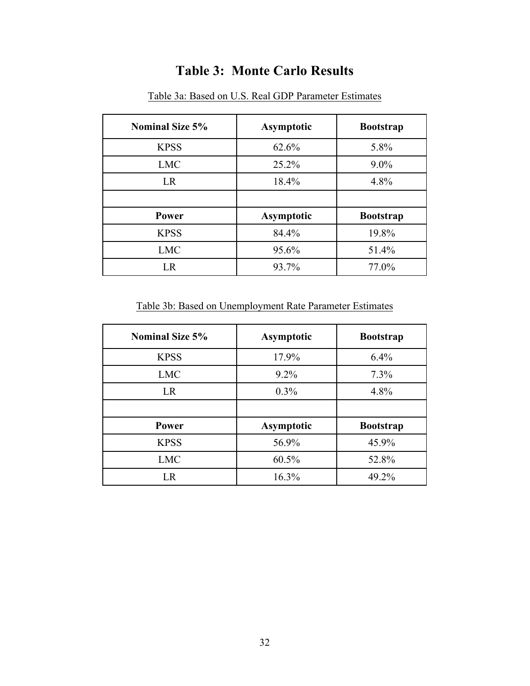# **Table 3: Monte Carlo Results**

| <b>Nominal Size 5%</b> | <b>Asymptotic</b> | <b>Bootstrap</b> |
|------------------------|-------------------|------------------|
| <b>KPSS</b>            | 62.6%             | 5.8%             |
| <b>LMC</b>             | 25.2%             | $9.0\%$          |
| <b>LR</b>              | 18.4%             | 4.8%             |
|                        |                   |                  |
| Power                  | <b>Asymptotic</b> | <b>Bootstrap</b> |
| <b>KPSS</b>            | 84.4%             | 19.8%            |
| <b>LMC</b>             | 95.6%             | 51.4%            |
| LR                     | 93.7%             | 77.0%            |

Table 3a: Based on U.S. Real GDP Parameter Estimates

Table 3b: Based on Unemployment Rate Parameter Estimates

| <b>Nominal Size 5%</b> | <b>Asymptotic</b> | <b>Bootstrap</b> |
|------------------------|-------------------|------------------|
| <b>KPSS</b>            | 17.9%             | 6.4%             |
| <b>LMC</b>             | $9.2\%$           | 7.3%             |
| <b>LR</b>              | 0.3%              | 4.8%             |
|                        |                   |                  |
| Power                  | <b>Asymptotic</b> | <b>Bootstrap</b> |
| <b>KPSS</b>            | 56.9%             | 45.9%            |
| <b>LMC</b>             | 60.5%             | 52.8%            |
| LR                     | 16.3%             | 49.2%            |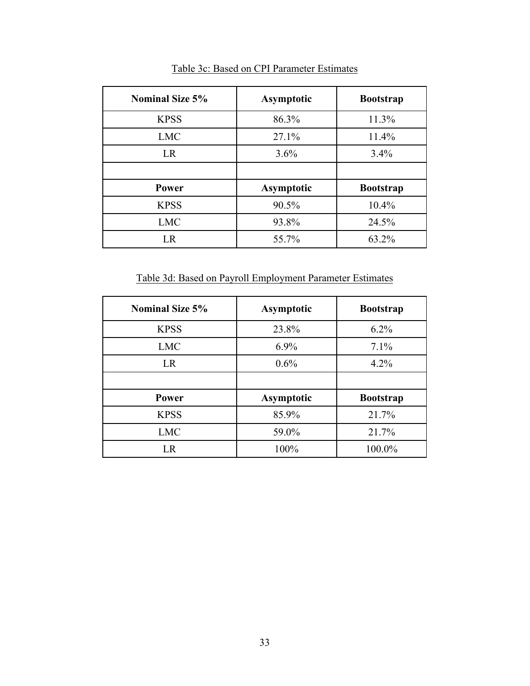| <b>Nominal Size 5%</b> | <b>Asymptotic</b> | <b>Bootstrap</b> |
|------------------------|-------------------|------------------|
| <b>KPSS</b>            | 86.3%             | 11.3%            |
| <b>LMC</b>             | 27.1%             | 11.4%            |
| <b>LR</b>              | 3.6%              | 3.4%             |
|                        |                   |                  |
| Power                  | <b>Asymptotic</b> | <b>Bootstrap</b> |
| <b>KPSS</b>            | 90.5%             | 10.4%            |
| <b>LMC</b>             | 93.8%             | 24.5%            |
| LR                     | 55.7%             | 63.2%            |

Table 3c: Based on CPI Parameter Estimates

Table 3d: Based on Payroll Employment Parameter Estimates

| <b>Nominal Size 5%</b> | <b>Asymptotic</b> | <b>Bootstrap</b> |
|------------------------|-------------------|------------------|
| <b>KPSS</b>            | 23.8%             | $6.2\%$          |
| <b>LMC</b>             | 6.9%              | 7.1%             |
| <b>LR</b>              | 0.6%              | 4.2%             |
|                        |                   |                  |
| Power                  | <b>Asymptotic</b> | <b>Bootstrap</b> |
| <b>KPSS</b>            | 85.9%             | 21.7%            |
| <b>LMC</b>             | 59.0%             | 21.7%            |
| LR                     | 100%              | 100.0%           |